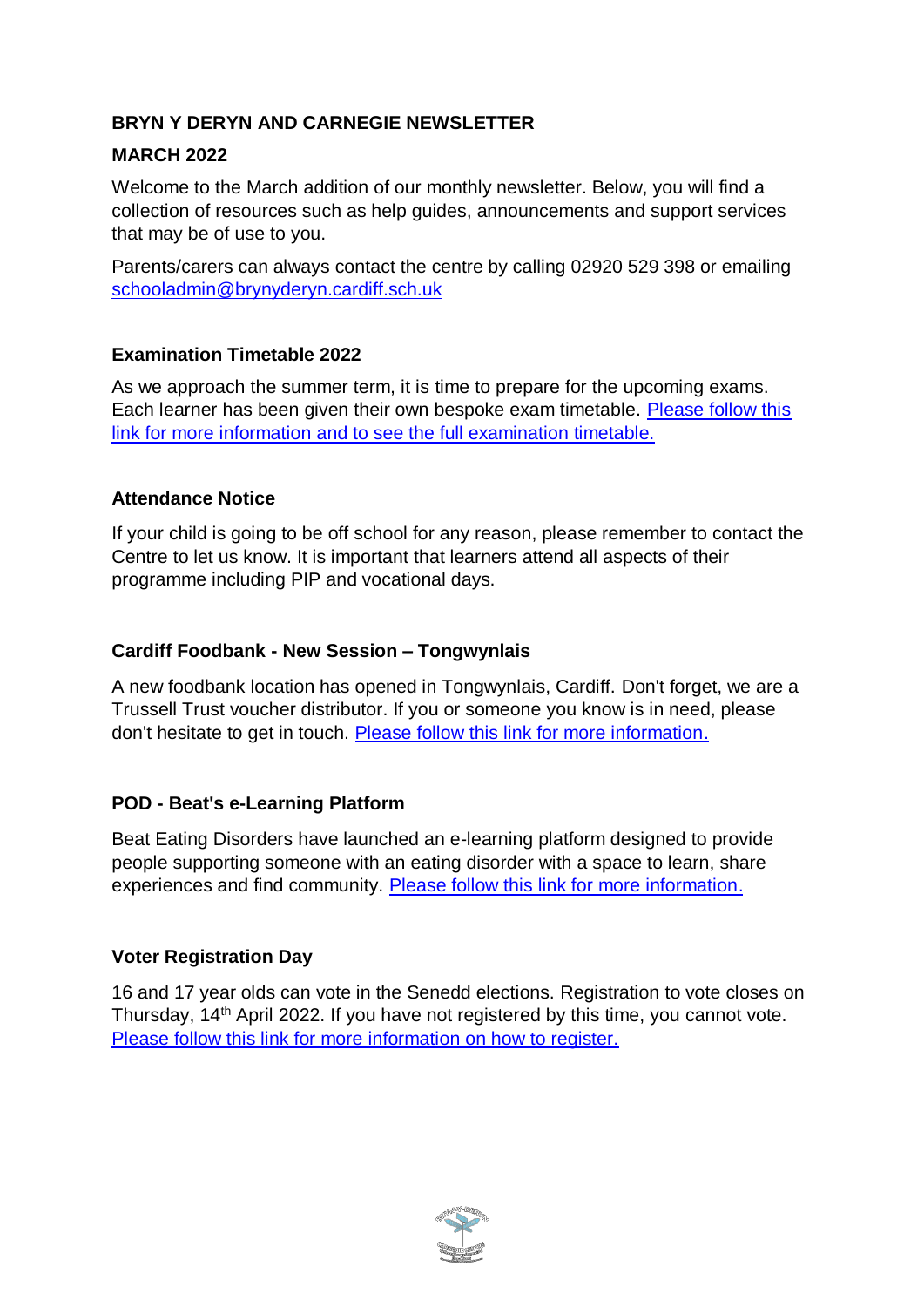# **BRYN Y DERYN AND CARNEGIE NEWSLETTER**

## **MARCH 2022**

Welcome to the March addition of our monthly newsletter. Below, you will find a collection of resources such as help guides, announcements and support services that may be of use to you.

Parents/carers can always contact the centre by calling 02920 529 398 or emailing [schooladmin@brynyderyn.cardiff.sch.uk](mailto:schooladmin@brynyderyn.cardiff.sch.uk)

## **Examination Timetable 2022**

As we approach the summer term, it is time to prepare for the upcoming exams. Each learner has been given their own bespoke exam timetable. [Please follow this](https://www.brynyderynpru.co.uk/post/examination-timetable-2022)  [link for more information and to see the full examination timetable.](https://www.brynyderynpru.co.uk/post/examination-timetable-2022)

### **Attendance Notice**

If your child is going to be off school for any reason, please remember to contact the Centre to let us know. It is important that learners attend all aspects of their programme including PIP and vocational days.

### **Cardiff Foodbank - New Session – Tongwynlais**

A new foodbank location has opened in Tongwynlais, Cardiff. Don't forget, we are a Trussell Trust voucher distributor. If you or someone you know is in need, please don't hesitate to get in touch. [Please follow this link for more information.](https://www.brynyderynpru.co.uk/post/cardiff-foodbank-new-session-tongwynlais)

## **POD - Beat's e-Learning Platform**

Beat Eating Disorders have launched an e-learning platform designed to provide people supporting someone with an eating disorder with a space to learn, share experiences and find community. [Please follow this link for more information.](https://www.brynyderynpru.co.uk/post/pod-beat-s-e-learning-platform)

## **Voter Registration Day**

16 and 17 year olds can vote in the Senedd elections. Registration to vote closes on Thursday, 14<sup>th</sup> April 2022. If you have not registered by this time, you cannot vote. [Please follow this link for more information on how to register.](https://www.brynyderynpru.co.uk/post/voter-registration-day)